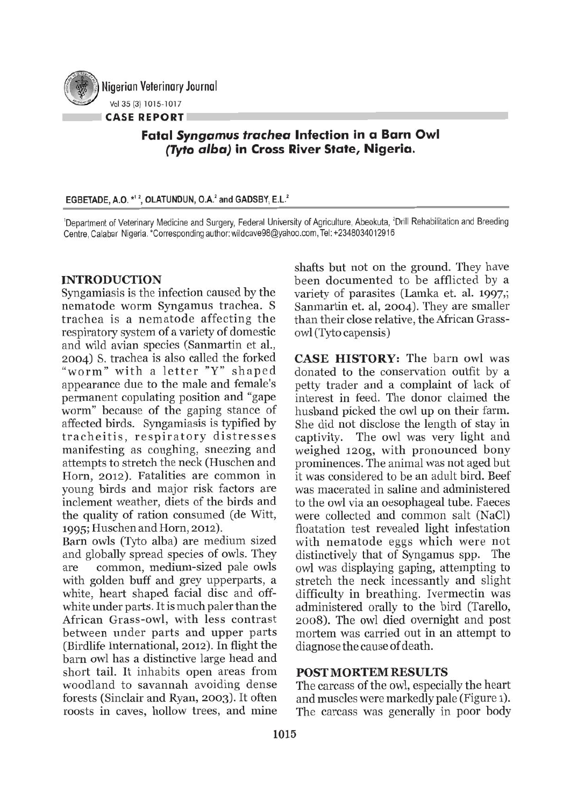

Nigerian Veterinary Journal Vol 35 (3) 1015·1017

**CASE REPORT**

# **Fatal** *Syngamus trachea* **Infection in a Barn Owl** *(Tyto alba)* **in Cross River State, Nigeria.**

#### EGBETADE, A.O. \*1<sup>2</sup>, OLATUNDUN, O.A.<sup>2</sup> and GADSBY, E.L.<sup>2</sup>

<sup>1</sup>Department of Veterinary Medicine and Surgery, Federal University of Agriculture, Abeokuta, <sup>2</sup>Drill Rehabilitation and Breeding Centre, Calabar Nigeria. \*Corresponding author: wildcave98@yahoo.com, Tel: +2348034012916

## INTRODUCTION

Syngamiasis is the infection caused by the nematode worm Syngamus trachea. S trachea is a nematode affecting the respiratory system of a variety of domestic and wild avian species (Sanmartin et al., 2004) S. trachea is also called the forked "worm" with a letter "Y" shaped appearance due to the male and female's permanent copulating position and "gape worm" because of the gaping stance of affected birds. Syngamiasis is typified by tracheitis, respiratory distresses manifesting as coughing, sneezing and attempts to stretch the neck (Huschen and Horn, 2012). Fatalities are common in young birds and major risk factors are inclement weather, diets of the birds and the quality of ration consumed (de Witt, 1995; Huschen and Horn, 2012).

Barn owls (Tyto alba) are medium sized and globally spread species of owls. They are common, medium-sized pale owls with golden buff and grey upperparts, a white, heart shaped facial disc and offwhite under parts. It is much paler than the African Grass-owl, with less contrast between under parts and upper parts (Birdlife International, 2012). In flight the barn owl has a distinctive large head and short tail, It inhabits open areas from woodland to savannah avoiding dense forests (Sinclair and Ryan, 2003). It often roosts in caves, hollow trees, and mine shafts but not on the ground. They have been documented to be afflicted by a variety of parasites (Lamka et. al. 1997,; Sanmartin et. al, 2004). They are smaller than their close relative, the African Grassowl (Tyto capensis)

CASE HISTORY: The barn owl was donated to the conservation outfit by a petty trader and a complaint of lack of interest in feed. The donor claimed the husband picked the owl up on their farm. She did not disclose the length of stay in captivity. The owl was very light and weighed 120g, with pronounced bony prominences. The animal was not aged but it was considered to be an adult bird. Beef was macerated in saline and administered to the owl via an oesophageal tube. Faeces were collected and common salt (NaCl) floatation test revealed light infestation with nematode eggs which were not distinctively that of Syngamus spp. The owl was displaying gaping, attempting to stretch the neck incessantly and slight difficulty in breathing. Ivermectin was administered orally to the bird (Tarello, 2008). The owl died overnight and post mortem was carried out in an attempt to diagnose the cause of death.

#### POSTMORTEM RESULTS

The carcass of the owl, especially the heart and muscles were markedly pale (Figure 1). The carcass was generally in poor body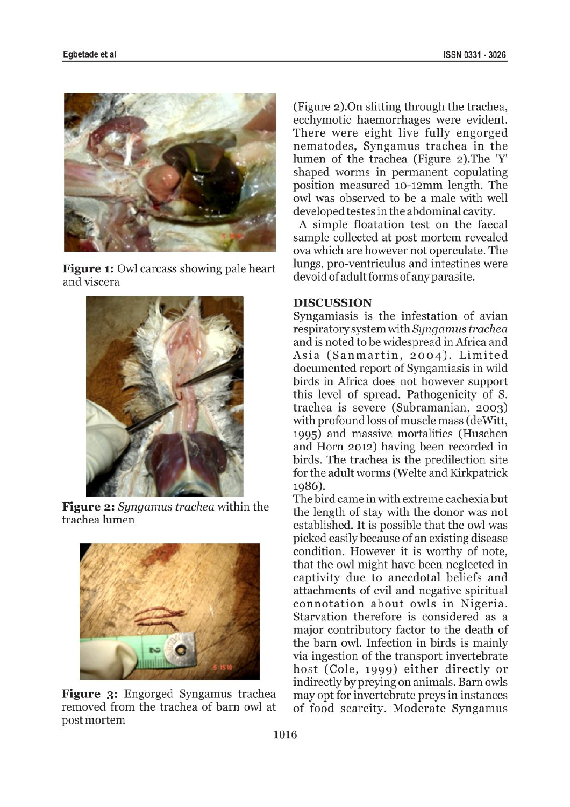

Figure 1: Owl carcass showing pale heart and viscera



Figure 2: *Syngamus trachea* within the trachea lumen



Figure 3: Engorged Syngamus trachea removed from the trachea of barn owl at postmortem

(Figure 2).On slitting through the trachea, ecchymotic haemorrhages were evident. There were eight live fully engorged nematodes, Syngamus trachea in the lumen of the trachea (Figure 2).The 'Y' shaped worms in permanent copulating position measured 10-12mm length. The owl was observed to be a male with well developed testes in the abdominal cavity.

A simple floatation test on the faecal sample collected at post mortem revealed ova which are however not operculate. The lungs, pro-ventriculus and intestines were devoid of adult forms of any parasite.

### DISCUSSION

Syngamiasis is the infestation of avian respiratory system with *Syngamus trachea* and is noted to be widespread in Africa and Asia (Sanmartin, 2004). Limited documented report of Syngamiasis in wild birds in Africa does not however support this level of spread. Pathogenicity of S. trachea is severe (Subramanian, 2003) with profound loss of muscle mass (deWitt, 1995) and massive mortalities (Huschen and Horn 2012) having been recorded in birds. The trachea is the predilection site for the adult worms (Welte and Kirkpatrick 1986).

The bird came in with extreme cachexia but the length of stay with the donor was not established. It is possible that the owl was picked easily because of an existing disease condition. However it is worthy of note, that the owl might have been neglected in captivity due to anecdotal beliefs and attachments of evil and negative spiritual connotation about owls in Nigeria. Starvation therefore is considered as a major contributory factor to the death of the barn owl. Infection in birds is mainly via ingestion of the transport invertebrate host (Cole, 1999) either directly or indirectly by preying on animals. Barn owls may opt for invertebrate preys in instances of food scarcity. Moderate Syngamus